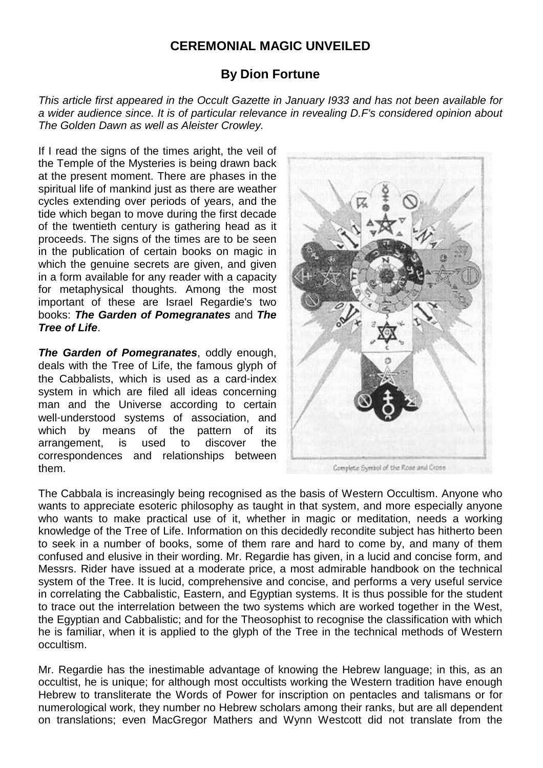## **CEREMONIAL MAGIC UNVEILED**

## **By Dion Fortune**

This article first appeared in the Occult Gazette in January I933 and has not been available for a wider audience since. It is of particular relevance in revealing D.F's considered opinion about The Golden Dawn as well as Aleister Crowley.

If I read the signs of the times aright, the veil of the Temple of the Mysteries is being drawn back at the present moment. There are phases in the spiritual life of mankind just as there are weather cycles extending over periods of years, and the tide which began to move during the first decade of the twentieth century is gathering head as it proceeds. The signs of the times are to be seen in the publication of certain books on magic in which the genuine secrets are given, and given in a form available for any reader with a capacity for metaphysical thoughts. Among the most important of these are Israel Regardie's two books: **The Garden of Pomegranates** and **The Tree of Life**.

**The Garden of Pomegranates**, oddly enough, deals with the Tree of Life, the famous glyph of the Cabbalists, which is used as a card-index system in which are filed all ideas concerning man and the Universe according to certain well-understood systems of association, and which by means of the pattern of its arrangement, is used to discover the correspondences and relationships between them.



Complete Symbol of the Rose and Cross

The Cabbala is increasingly being recognised as the basis of Western Occultism. Anyone who wants to appreciate esoteric philosophy as taught in that system, and more especially anyone who wants to make practical use of it, whether in magic or meditation, needs a working knowledge of the Tree of Life. Information on this decidedly recondite subject has hitherto been to seek in a number of books, some of them rare and hard to come by, and many of them confused and elusive in their wording. Mr. Regardie has given, in a lucid and concise form, and Messrs. Rider have issued at a moderate price, a most admirable handbook on the technical system of the Tree. It is lucid, comprehensive and concise, and performs a very useful service in correlating the Cabbalistic, Eastern, and Egyptian systems. It is thus possible for the student to trace out the interrelation between the two systems which are worked together in the West, the Egyptian and Cabbalistic; and for the Theosophist to recognise the classification with which he is familiar, when it is applied to the glyph of the Tree in the technical methods of Western occultism.

Mr. Regardie has the inestimable advantage of knowing the Hebrew language; in this, as an occultist, he is unique; for although most occultists working the Western tradition have enough Hebrew to transliterate the Words of Power for inscription on pentacles and talismans or for numerological work, they number no Hebrew scholars among their ranks, but are all dependent on translations; even MacGregor Mathers and Wynn Westcott did not translate from the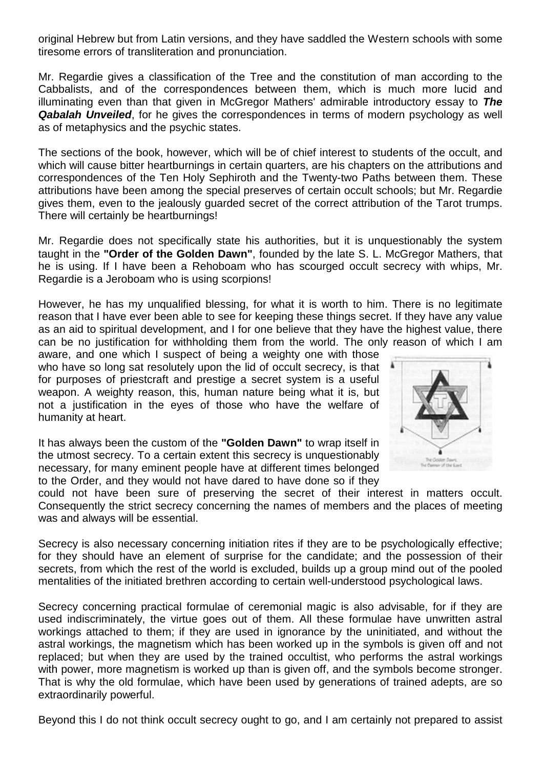original Hebrew but from Latin versions, and they have saddled the Western schools with some tiresome errors of transliteration and pronunciation.

Mr. Regardie gives a classification of the Tree and the constitution of man according to the Cabbalists, and of the correspondences between them, which is much more lucid and illuminating even than that given in McGregor Mathers' admirable introductory essay to **The Qabalah Unveiled**, for he gives the correspondences in terms of modern psychology as well as of metaphysics and the psychic states.

The sections of the book, however, which will be of chief interest to students of the occult, and which will cause bitter heartburnings in certain quarters, are his chapters on the attributions and correspondences of the Ten Holy Sephiroth and the Twenty-two Paths between them. These attributions have been among the special preserves of certain occult schools; but Mr. Regardie gives them, even to the jealously guarded secret of the correct attribution of the Tarot trumps. There will certainly be heartburnings!

Mr. Regardie does not specifically state his authorities, but it is unquestionably the system taught in the **"Order of the Golden Dawn"**, founded by the late S. L. McGregor Mathers, that he is using. If I have been a Rehoboam who has scourged occult secrecy with whips, Mr. Regardie is a Jeroboam who is using scorpions!

However, he has my unqualified blessing, for what it is worth to him. There is no legitimate reason that I have ever been able to see for keeping these things secret. If they have any value as an aid to spiritual development, and I for one believe that they have the highest value, there can be no justification for withholding them from the world. The only reason of which I am

aware, and one which I suspect of being a weighty one with those who have so long sat resolutely upon the lid of occult secrecy, is that for purposes of priestcraft and prestige a secret system is a useful weapon. A weighty reason, this, human nature being what it is, but not a justification in the eyes of those who have the welfare of humanity at heart.

It has always been the custom of the **"Golden Dawn"** to wrap itself in the utmost secrecy. To a certain extent this secrecy is unquestionably necessary, for many eminent people have at different times belonged to the Order, and they would not have dared to have done so if they



could not have been sure of preserving the secret of their interest in matters occult. Consequently the strict secrecy concerning the names of members and the places of meeting was and always will be essential.

Secrecy is also necessary concerning initiation rites if they are to be psychologically effective; for they should have an element of surprise for the candidate; and the possession of their secrets, from which the rest of the world is excluded, builds up a group mind out of the pooled mentalities of the initiated brethren according to certain well-understood psychological laws.

Secrecy concerning practical formulae of ceremonial magic is also advisable, for if they are used indiscriminately, the virtue goes out of them. All these formulae have unwritten astral workings attached to them; if they are used in ignorance by the uninitiated, and without the astral workings, the magnetism which has been worked up in the symbols is given off and not replaced; but when they are used by the trained occultist, who performs the astral workings with power, more magnetism is worked up than is given off, and the symbols become stronger. That is why the old formulae, which have been used by generations of trained adepts, are so extraordinarily powerful.

Beyond this I do not think occult secrecy ought to go, and I am certainly not prepared to assist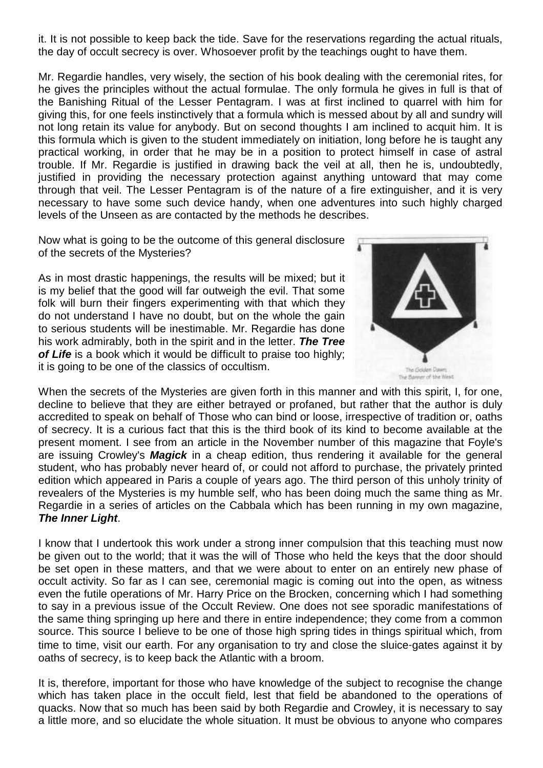it. It is not possible to keep back the tide. Save for the reservations regarding the actual rituals, the day of occult secrecy is over. Whosoever profit by the teachings ought to have them.

Mr. Regardie handles, very wisely, the section of his book dealing with the ceremonial rites, for he gives the principles without the actual formulae. The only formula he gives in full is that of the Banishing Ritual of the Lesser Pentagram. I was at first inclined to quarrel with him for giving this, for one feels instinctively that a formula which is messed about by all and sundry will not long retain its value for anybody. But on second thoughts I am inclined to acquit him. It is this formula which is given to the student immediately on initiation, long before he is taught any practical working, in order that he may be in a position to protect himself in case of astral trouble. If Mr. Regardie is justified in drawing back the veil at all, then he is, undoubtedly, justified in providing the necessary protection against anything untoward that may come through that veil. The Lesser Pentagram is of the nature of a fire extinguisher, and it is very necessary to have some such device handy, when one adventures into such highly charged levels of the Unseen as are contacted by the methods he describes.

Now what is going to be the outcome of this general disclosure of the secrets of the Mysteries?

As in most drastic happenings, the results will be mixed; but it is my belief that the good will far outweigh the evil. That some folk will burn their fingers experimenting with that which they do not understand I have no doubt, but on the whole the gain to serious students will be inestimable. Mr. Regardie has done his work admirably, both in the spirit and in the letter. **The Tree of Life** is a book which it would be difficult to praise too highly; it is going to be one of the classics of occultism.



When the secrets of the Mysteries are given forth in this manner and with this spirit, I, for one, decline to believe that they are either betrayed or profaned, but rather that the author is duly accredited to speak on behalf of Those who can bind or loose, irrespective of tradition or, oaths of secrecy. It is a curious fact that this is the third book of its kind to become available at the present moment. I see from an article in the November number of this magazine that Foyle's are issuing Crowley's **Magick** in a cheap edition, thus rendering it available for the general student, who has probably never heard of, or could not afford to purchase, the privately printed edition which appeared in Paris a couple of years ago. The third person of this unholy trinity of revealers of the Mysteries is my humble self, who has been doing much the same thing as Mr. Regardie in a series of articles on the Cabbala which has been running in my own magazine, **The Inner Light**.

I know that I undertook this work under a strong inner compulsion that this teaching must now be given out to the world; that it was the will of Those who held the keys that the door should be set open in these matters, and that we were about to enter on an entirely new phase of occult activity. So far as I can see, ceremonial magic is coming out into the open, as witness even the futile operations of Mr. Harry Price on the Brocken, concerning which I had something to say in a previous issue of the Occult Review. One does not see sporadic manifestations of the same thing springing up here and there in entire independence; they come from a common source. This source I believe to be one of those high spring tides in things spiritual which, from time to time, visit our earth. For any organisation to try and close the sluice-gates against it by oaths of secrecy, is to keep back the Atlantic with a broom.

It is, therefore, important for those who have knowledge of the subject to recognise the change which has taken place in the occult field, lest that field be abandoned to the operations of quacks. Now that so much has been said by both Regardie and Crowley, it is necessary to say a little more, and so elucidate the whole situation. It must be obvious to anyone who compares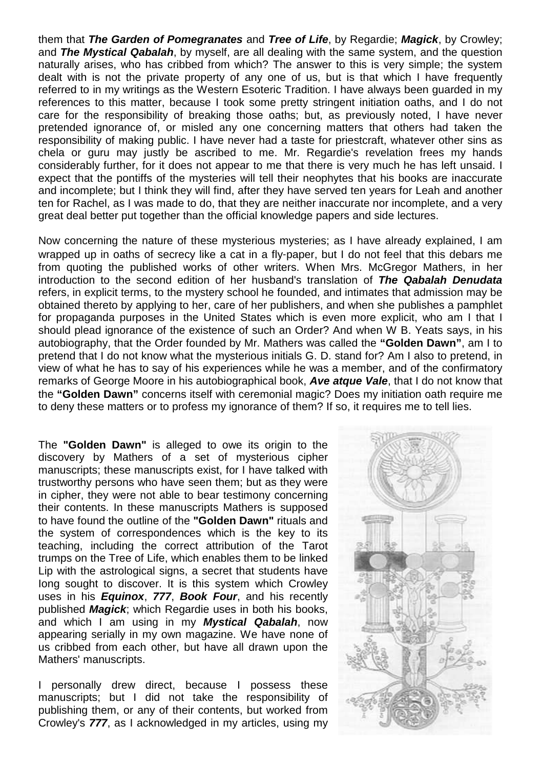them that **The Garden of Pomegranates** and **Tree of Life**, by Regardie; **Magick**, by Crowley; and **The Mystical Qabalah**, by myself, are all dealing with the same system, and the question naturally arises, who has cribbed from which? The answer to this is very simple; the system dealt with is not the private property of any one of us, but is that which I have frequently referred to in my writings as the Western Esoteric Tradition. I have always been guarded in my references to this matter, because I took some pretty stringent initiation oaths, and I do not care for the responsibility of breaking those oaths; but, as previously noted, I have never pretended ignorance of, or misled any one concerning matters that others had taken the responsibility of making public. I have never had a taste for priestcraft, whatever other sins as chela or guru may justly be ascribed to me. Mr. Regardie's revelation frees my hands considerably further, for it does not appear to me that there is very much he has left unsaid. I expect that the pontiffs of the mysteries will tell their neophytes that his books are inaccurate and incomplete; but I think they will find, after they have served ten years for Leah and another ten for Rachel, as I was made to do, that they are neither inaccurate nor incomplete, and a very great deal better put together than the official knowledge papers and side lectures.

Now concerning the nature of these mysterious mysteries; as I have already explained, I am wrapped up in oaths of secrecy like a cat in a fly-paper, but I do not feel that this debars me from quoting the published works of other writers. When Mrs. McGregor Mathers, in her introduction to the second edition of her husband's translation of **The Qabalah Denudata** refers, in explicit terms, to the mystery school he founded, and intimates that admission may be obtained thereto by applying to her, care of her publishers, and when she publishes a pamphlet for propaganda purposes in the United States which is even more explicit, who am I that I should plead ignorance of the existence of such an Order? And when W B. Yeats says, in his autobiography, that the Order founded by Mr. Mathers was called the **"Golden Dawn"**, am I to pretend that I do not know what the mysterious initials G. D. stand for? Am I also to pretend, in view of what he has to say of his experiences while he was a member, and of the confirmatory remarks of George Moore in his autobiographical book, **Ave atque Vale**, that I do not know that the **"Golden Dawn"** concerns itself with ceremonial magic? Does my initiation oath require me to deny these matters or to profess my ignorance of them? If so, it requires me to tell lies.

The **"Golden Dawn"** is alleged to owe its origin to the discovery by Mathers of a set of mysterious cipher manuscripts; these manuscripts exist, for I have talked with trustworthy persons who have seen them; but as they were in cipher, they were not able to bear testimony concerning their contents. In these manuscripts Mathers is supposed to have found the outline of the **"Golden Dawn"** rituals and the system of correspondences which is the key to its teaching, including the correct attribution of the Tarot trumps on the Tree of Life, which enables them to be linked Lip with the astrological signs, a secret that students have Iong sought to discover. It is this system which Crowley uses in his **Equinox**, **777**, **Book Four**, and his recently published **Magick**; which Regardie uses in both his books, and which I am using in my **Mystical Qabalah**, now appearing serially in my own magazine. We have none of us cribbed from each other, but have all drawn upon the Mathers' manuscripts.

I personally drew direct, because I possess these manuscripts; but I did not take the responsibility of publishing them, or any of their contents, but worked from Crowley's **777**, as I acknowledged in my articles, using my

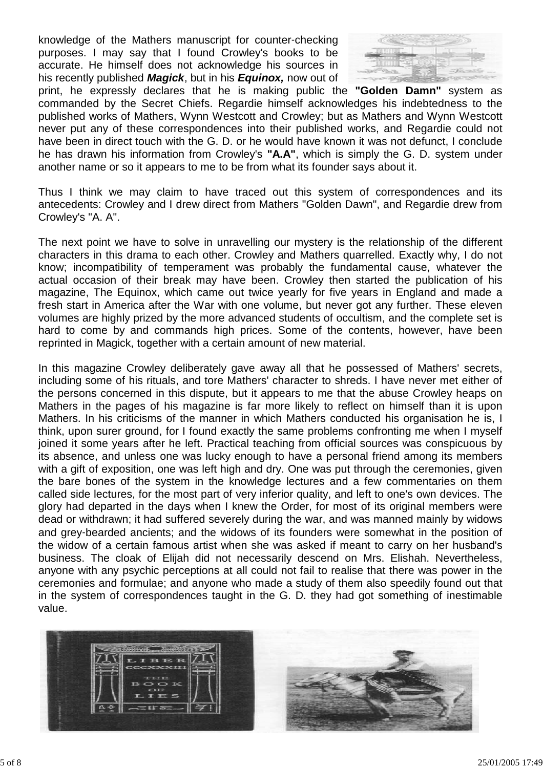knowledge of the Mathers manuscript for counter-checking purposes. I may say that I found Crowley's books to be accurate. He himself does not acknowledge his sources in his recently published **Magick**, but in his **Equinox,** now out of



print, he expressly declares that he is making public the **"Golden Damn"** system as commanded by the Secret Chiefs. Regardie himself acknowledges his indebtedness to the published works of Mathers, Wynn Westcott and Crowley; but as Mathers and Wynn Westcott never put any of these correspondences into their published works, and Regardie could not have been in direct touch with the G. D. or he would have known it was not defunct, I conclude he has drawn his information from Crowley's **"A.A"**, which is simply the G. D. system under another name or so it appears to me to be from what its founder says about it.

Thus I think we may claim to have traced out this system of correspondences and its antecedents: Crowley and I drew direct from Mathers "Golden Dawn", and Regardie drew from Crowley's "A. A".

The next point we have to solve in unravelling our mystery is the relationship of the different characters in this drama to each other. Crowley and Mathers quarrelled. Exactly why, I do not know; incompatibility of temperament was probably the fundamental cause, whatever the actual occasion of their break may have been. Crowley then started the publication of his magazine, The Equinox, which came out twice yearly for five years in England and made a fresh start in America after the War with one volume, but never got any further. These eleven volumes are highly prized by the more advanced students of occultism, and the complete set is hard to come by and commands high prices. Some of the contents, however, have been reprinted in Magick, together with a certain amount of new material.

In this magazine Crowley deliberately gave away all that he possessed of Mathers' secrets, including some of his rituals, and tore Mathers' character to shreds. I have never met either of the persons concerned in this dispute, but it appears to me that the abuse Crowley heaps on Mathers in the pages of his magazine is far more likely to reflect on himself than it is upon Mathers. In his criticisms of the manner in which Mathers conducted his organisation he is, I think, upon surer ground, for I found exactly the same problems confronting me when I myself joined it some years after he left. Practical teaching from official sources was conspicuous by its absence, and unless one was lucky enough to have a personal friend among its members with a gift of exposition, one was left high and dry. One was put through the ceremonies, given the bare bones of the system in the knowledge lectures and a few commentaries on them called side lectures, for the most part of very inferior quality, and left to one's own devices. The glory had departed in the days when I knew the Order, for most of its original members were dead or withdrawn; it had suffered severely during the war, and was manned mainly by widows and grey-bearded ancients; and the widows of its founders were somewhat in the position of the widow of a certain famous artist when she was asked if meant to carry on her husband's business. The cloak of Elijah did not necessarily descend on Mrs. Elishah. Nevertheless, anyone with any psychic perceptions at all could not fail to realise that there was power in the ceremonies and formulae; and anyone who made a study of them also speedily found out that in the system of correspondences taught in the G. D. they had got something of inestimable value.

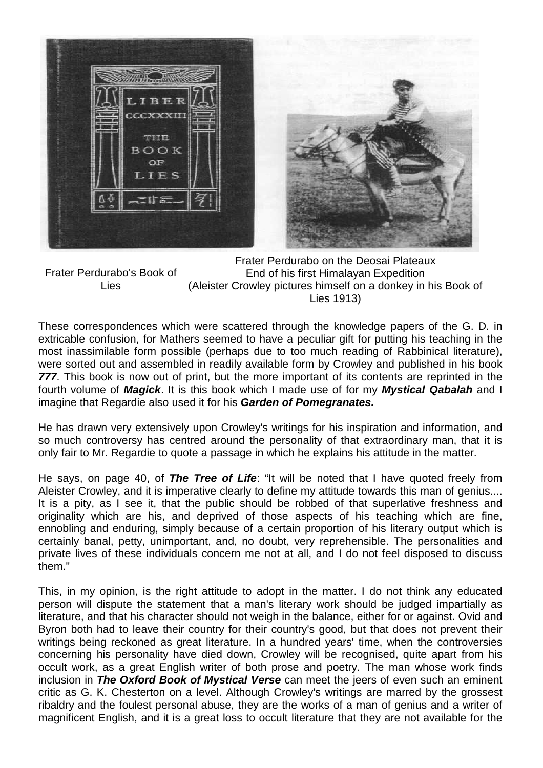

Frater Perdurabo's Book of Lies

Frater Perdurabo on the Deosai Plateaux End of his first Himalayan Expedition (Aleister Crowley pictures himself on a donkey in his Book of Lies 1913)

These correspondences which were scattered through the knowledge papers of the G. D. in extricable confusion, for Mathers seemed to have a peculiar gift for putting his teaching in the most inassimilable form possible (perhaps due to too much reading of Rabbinical literature), were sorted out and assembled in readily available form by Crowley and published in his book **777**. This book is now out of print, but the more important of its contents are reprinted in the fourth volume of **Magick**. It is this book which I made use of for my **Mystical Qabalah** and I imagine that Regardie also used it for his **Garden of Pomegranates.**

He has drawn very extensively upon Crowley's writings for his inspiration and information, and so much controversy has centred around the personality of that extraordinary man, that it is only fair to Mr. Regardie to quote a passage in which he explains his attitude in the matter.

He says, on page 40, of **The Tree of Life**: "It will be noted that I have quoted freely from Aleister Crowley, and it is imperative clearly to define my attitude towards this man of genius.... It is a pity, as I see it, that the public should be robbed of that superlative freshness and originality which are his, and deprived of those aspects of his teaching which are fine, ennobling and enduring, simply because of a certain proportion of his literary output which is certainly banal, petty, unimportant, and, no doubt, very reprehensible. The personalities and private lives of these individuals concern me not at all, and I do not feel disposed to discuss them."

This, in my opinion, is the right attitude to adopt in the matter. I do not think any educated person will dispute the statement that a man's literary work should be judged impartially as literature, and that his character should not weigh in the balance, either for or against. Ovid and Byron both had to leave their country for their country's good, but that does not prevent their writings being reckoned as great literature. In a hundred years' time, when the controversies concerning his personality have died down, Crowley will be recognised, quite apart from his occult work, as a great English writer of both prose and poetry. The man whose work finds inclusion in **The Oxford Book of Mystical Verse** can meet the jeers of even such an eminent critic as G. K. Chesterton on a level. Although Crowley's writings are marred by the grossest ribaldry and the foulest personal abuse, they are the works of a man of genius and a writer of magnificent English, and it is a great loss to occult literature that they are not available for the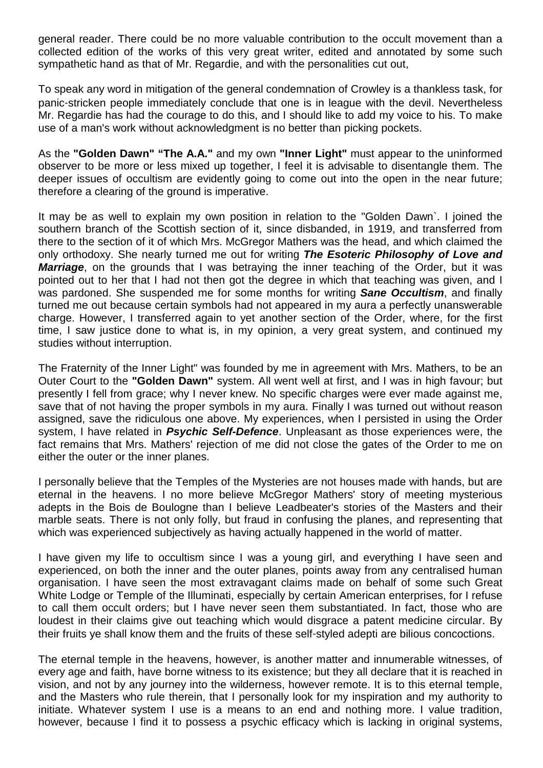general reader. There could be no more valuable contribution to the occult movement than a collected edition of the works of this very great writer, edited and annotated by some such sympathetic hand as that of Mr. Regardie, and with the personalities cut out,

To speak any word in mitigation of the general condemnation of Crowley is a thankless task, for panic-stricken people immediately conclude that one is in league with the devil. Nevertheless Mr. Regardie has had the courage to do this, and I should like to add my voice to his. To make use of a man's work without acknowledgment is no better than picking pockets.

As the **"Golden Dawn" "The A.A."** and my own **"Inner Light"** must appear to the uninformed observer to be more or less mixed up together, I feel it is advisable to disentangle them. The deeper issues of occultism are evidently going to come out into the open in the near future; therefore a clearing of the ground is imperative.

It may be as well to explain my own position in relation to the "Golden Dawn`. I joined the southern branch of the Scottish section of it, since disbanded, in 1919, and transferred from there to the section of it of which Mrs. McGregor Mathers was the head, and which claimed the only orthodoxy. She nearly turned me out for writing **The Esoteric Philosophy of Love and Marriage**, on the grounds that I was betraying the inner teaching of the Order, but it was pointed out to her that I had not then got the degree in which that teaching was given, and I was pardoned. She suspended me for some months for writing **Sane Occultism**, and finally turned me out because certain symbols had not appeared in my aura a perfectly unanswerable charge. However, I transferred again to yet another section of the Order, where, for the first time, I saw justice done to what is, in my opinion, a very great system, and continued my studies without interruption.

The Fraternity of the Inner Light" was founded by me in agreement with Mrs. Mathers, to be an Outer Court to the **"Golden Dawn"** system. All went well at first, and I was in high favour; but presently I fell from grace; why I never knew. No specific charges were ever made against me, save that of not having the proper symbols in my aura. Finally I was turned out without reason assigned, save the ridiculous one above. My experiences, when I persisted in using the Order system, I have related in **Psychic Self-Defence**. Unpleasant as those experiences were, the fact remains that Mrs. Mathers' rejection of me did not close the gates of the Order to me on either the outer or the inner planes.

I personally believe that the Temples of the Mysteries are not houses made with hands, but are eternal in the heavens. I no more believe McGregor Mathers' story of meeting mysterious adepts in the Bois de Boulogne than I believe Leadbeater's stories of the Masters and their marble seats. There is not only folly, but fraud in confusing the planes, and representing that which was experienced subjectively as having actually happened in the world of matter.

I have given my life to occultism since I was a young girl, and everything I have seen and experienced, on both the inner and the outer planes, points away from any centralised human organisation. I have seen the most extravagant claims made on behalf of some such Great White Lodge or Temple of the Illuminati, especially by certain American enterprises, for I refuse to call them occult orders; but I have never seen them substantiated. In fact, those who are loudest in their claims give out teaching which would disgrace a patent medicine circular. By their fruits ye shall know them and the fruits of these self-styled adepti are bilious concoctions.

The eternal temple in the heavens, however, is another matter and innumerable witnesses, of every age and faith, have borne witness to its existence; but they all declare that it is reached in vision, and not by any journey into the wilderness, however remote. It is to this eternal temple, and the Masters who rule therein, that I personally look for my inspiration and my authority to initiate. Whatever system I use is a means to an end and nothing more. I value tradition, however, because I find it to possess a psychic efficacy which is lacking in original systems,